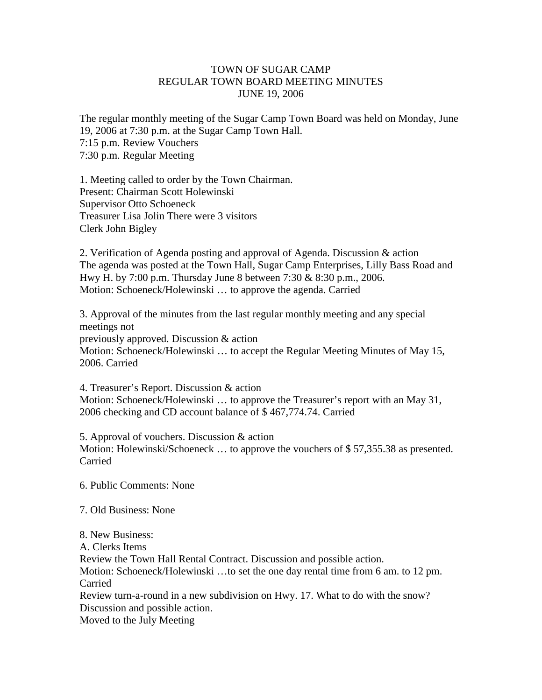## TOWN OF SUGAR CAMP REGULAR TOWN BOARD MEETING MINUTES JUNE 19, 2006

The regular monthly meeting of the Sugar Camp Town Board was held on Monday, June 19, 2006 at 7:30 p.m. at the Sugar Camp Town Hall. 7:15 p.m. Review Vouchers 7:30 p.m. Regular Meeting

1. Meeting called to order by the Town Chairman. Present: Chairman Scott Holewinski Supervisor Otto Schoeneck Treasurer Lisa Jolin There were 3 visitors Clerk John Bigley

2. Verification of Agenda posting and approval of Agenda. Discussion & action The agenda was posted at the Town Hall, Sugar Camp Enterprises, Lilly Bass Road and Hwy H. by 7:00 p.m. Thursday June 8 between 7:30 & 8:30 p.m., 2006. Motion: Schoeneck/Holewinski … to approve the agenda. Carried

3. Approval of the minutes from the last regular monthly meeting and any special meetings not previously approved. Discussion & action Motion: Schoeneck/Holewinski … to accept the Regular Meeting Minutes of May 15, 2006. Carried

4. Treasurer's Report. Discussion & action Motion: Schoeneck/Holewinski … to approve the Treasurer's report with an May 31, 2006 checking and CD account balance of \$ 467,774.74. Carried

5. Approval of vouchers. Discussion & action Motion: Holewinski/Schoeneck ... to approve the vouchers of \$57,355.38 as presented. Carried

- 6. Public Comments: None
- 7. Old Business: None
- 8. New Business:
- A. Clerks Items

Review the Town Hall Rental Contract. Discussion and possible action.

Motion: Schoeneck/Holewinski …to set the one day rental time from 6 am. to 12 pm. Carried

Review turn-a-round in a new subdivision on Hwy. 17. What to do with the snow? Discussion and possible action.

Moved to the July Meeting